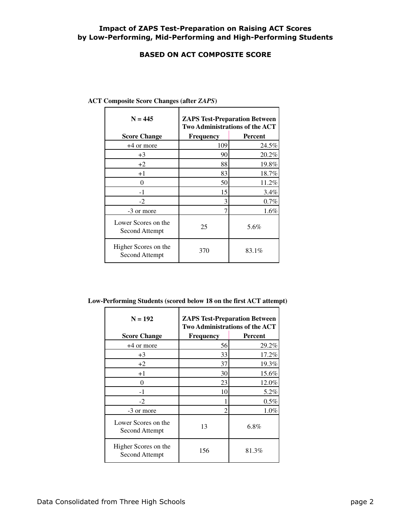## **Impact of ZAPS Test-Preparation on Raising ACT Scores by Low-Performing, Mid-Performing and High-Performing Students**

#### **BASED ON ACT COMPOSITE SCORE**

| $N = 445$                              | <b>ZAPS Test-Preparation Between</b><br><b>Two Administrations of the ACT</b> |                |
|----------------------------------------|-------------------------------------------------------------------------------|----------------|
| <b>Score Change</b>                    | Frequency                                                                     | <b>Percent</b> |
| +4 or more                             | 109                                                                           | 24.5%          |
| $+3$                                   | 90                                                                            | 20.2%          |
| $+2$                                   | 88                                                                            | 19.8%          |
| $+1$                                   | 83                                                                            | 18.7%          |
| 0                                      | 50                                                                            | 11.2%          |
| $-1$                                   | 15                                                                            | 3.4%           |
| $-2$                                   | 3                                                                             | 0.7%           |
| -3 or more                             |                                                                               | 1.6%           |
| Lower Scores on the<br>Second Attempt  | 25                                                                            | 5.6%           |
| Higher Scores on the<br>Second Attempt | 370                                                                           | 83.1%          |

| <b>ACT Composite Score Changes (after ZAPS)</b> |  |
|-------------------------------------------------|--|
|                                                 |  |

**Low-Performing Students (scored below 18 on the first ACT attempt)**

| $N = 192$                                     | <b>ZAPS Test-Preparation Between</b><br><b>Two Administrations of the ACT</b> |                |
|-----------------------------------------------|-------------------------------------------------------------------------------|----------------|
| <b>Score Change</b>                           | <b>Frequency</b>                                                              | <b>Percent</b> |
| $+4$ or more                                  | 56                                                                            | 29.2%          |
| $+3$                                          | 33                                                                            | 17.2%          |
| $+2$                                          | 37                                                                            | 19.3%          |
| $+1$                                          | 30                                                                            | 15.6%          |
| $\theta$                                      | 23                                                                            | 12.0%          |
| $-1$                                          | 10                                                                            | 5.2%           |
| $-2$                                          |                                                                               | 0.5%           |
| -3 or more                                    |                                                                               | 1.0%           |
| Lower Scores on the<br>Second Attempt         | 13                                                                            | $6.8\%$        |
| Higher Scores on the<br><b>Second Attempt</b> | 156                                                                           | 81.3%          |